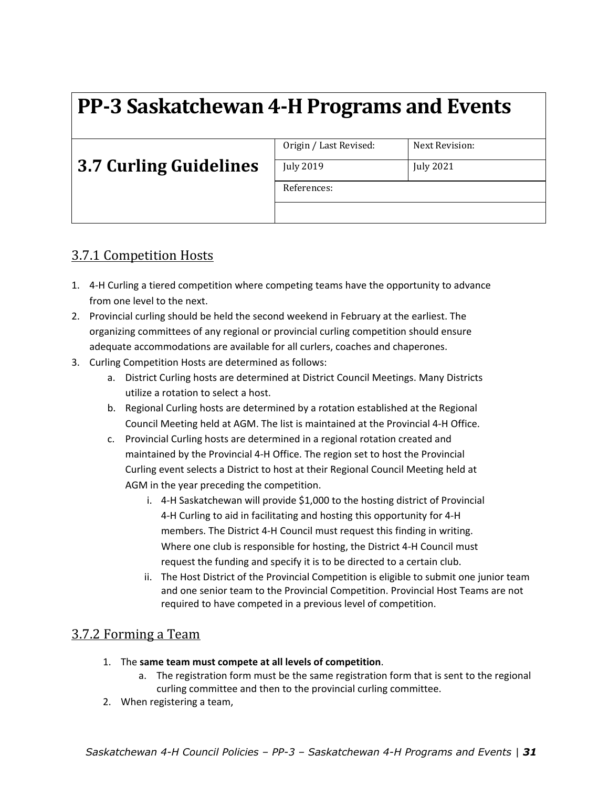# **PP‐3 Saskatchewan 4‐H Programs and Events**

|                               | Origin / Last Revised: | Next Revision:   |
|-------------------------------|------------------------|------------------|
| <b>3.7 Curling Guidelines</b> | <b>July 2019</b>       | <b>July 2021</b> |
|                               | References:            |                  |
|                               |                        |                  |

## 3.7.1 Competition Hosts

- 1. 4‐H Curling a tiered competition where competing teams have the opportunity to advance from one level to the next.
- 2. Provincial curling should be held the second weekend in February at the earliest. The organizing committees of any regional or provincial curling competition should ensure adequate accommodations are available for all curlers, coaches and chaperones.
- 3. Curling Competition Hosts are determined as follows:
	- a. District Curling hosts are determined at District Council Meetings. Many Districts utilize a rotation to select a host.
	- b. Regional Curling hosts are determined by a rotation established at the Regional Council Meeting held at AGM. The list is maintained at the Provincial 4‐H Office.
	- c. Provincial Curling hosts are determined in a regional rotation created and maintained by the Provincial 4‐H Office. The region set to host the Provincial Curling event selects a District to host at their Regional Council Meeting held at AGM in the year preceding the competition.
		- i. 4‐H Saskatchewan will provide \$1,000 to the hosting district of Provincial 4‐H Curling to aid in facilitating and hosting this opportunity for 4‐H members. The District 4‐H Council must request this finding in writing. Where one club is responsible for hosting, the District 4‐H Council must request the funding and specify it is to be directed to a certain club.
		- ii. The Host District of the Provincial Competition is eligible to submit one junior team and one senior team to the Provincial Competition. Provincial Host Teams are not required to have competed in a previous level of competition.

### 3.7.2 Forming a Team

- 1. The **same team must compete at all levels of competition**.
	- a. The registration form must be the same registration form that is sent to the regional curling committee and then to the provincial curling committee.
- 2. When registering a team,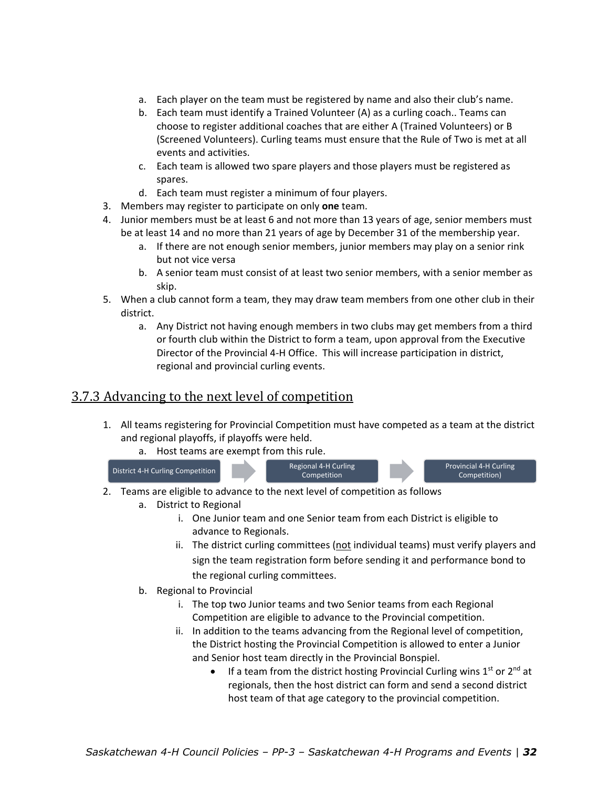- a. Each player on the team must be registered by name and also their club's name.
- b. Each team must identify a Trained Volunteer (A) as a curling coach.. Teams can choose to register additional coaches that are either A (Trained Volunteers) or B (Screened Volunteers). Curling teams must ensure that the Rule of Two is met at all events and activities.
- c. Each team is allowed two spare players and those players must be registered as spares.
- d. Each team must register a minimum of four players.
- 3. Members may register to participate on only **one** team.
- 4. Junior members must be at least 6 and not more than 13 years of age, senior members must be at least 14 and no more than 21 years of age by December 31 of the membership year.
	- a. If there are not enough senior members, junior members may play on a senior rink but not vice versa
	- b. A senior team must consist of at least two senior members, with a senior member as skip.
- 5. When a club cannot form a team, they may draw team members from one other club in their district.
	- a. Any District not having enough members in two clubs may get members from a third or fourth club within the District to form a team, upon approval from the Executive Director of the Provincial 4‐H Office. This will increase participation in district, regional and provincial curling events.

#### 3.7.3 Advancing to the next level of competition

- 1. All teams registering for Provincial Competition must have competed as a team at the district and regional playoffs, if playoffs were held.
	- a. Host teams are exempt from this rule.



- 2. Teams are eligible to advance to the next level of competition as follows
	- a. District to Regional
		- i. One Junior team and one Senior team from each District is eligible to advance to Regionals.
		- ii. The district curling committees  $(not$  individual teams) must verify players and sign the team registration form before sending it and performance bond to the regional curling committees.
	- b. Regional to Provincial
		- i. The top two Junior teams and two Senior teams from each Regional Competition are eligible to advance to the Provincial competition.
		- ii. In addition to the teams advancing from the Regional level of competition, the District hosting the Provincial Competition is allowed to enter a Junior and Senior host team directly in the Provincial Bonspiel.
			- If a team from the district hosting Provincial Curling wins  $1<sup>st</sup>$  or  $2<sup>nd</sup>$  at regionals, then the host district can form and send a second district host team of that age category to the provincial competition.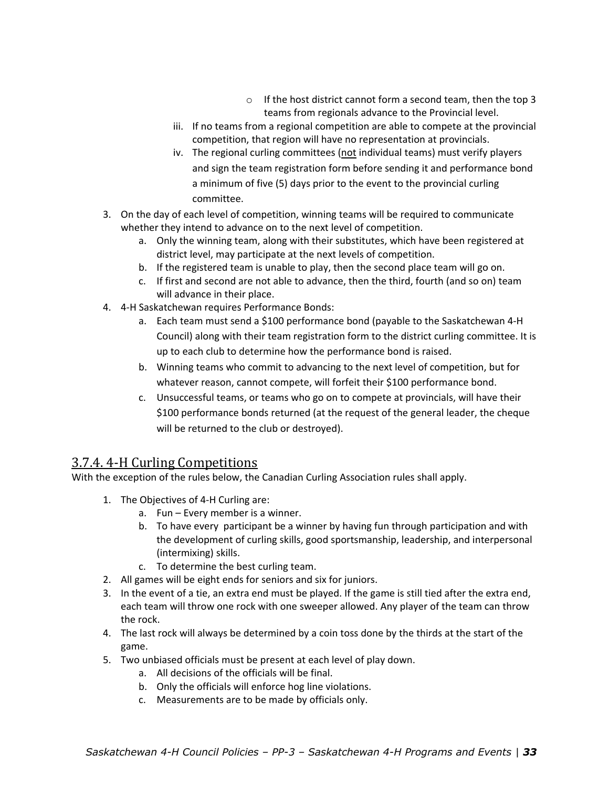- o If the host district cannot form a second team, then the top 3 teams from regionals advance to the Provincial level.
- iii. If no teams from a regional competition are able to compete at the provincial competition, that region will have no representation at provincials.
- iv. The regional curling committees (not individual teams) must verify players and sign the team registration form before sending it and performance bond a minimum of five (5) days prior to the event to the provincial curling committee.
- 3. On the day of each level of competition, winning teams will be required to communicate whether they intend to advance on to the next level of competition.
	- a. Only the winning team, along with their substitutes, which have been registered at district level, may participate at the next levels of competition.
	- b. If the registered team is unable to play, then the second place team will go on.
	- c. If first and second are not able to advance, then the third, fourth (and so on) team will advance in their place.
- 4. 4‐H Saskatchewan requires Performance Bonds:
	- a. Each team must send a \$100 performance bond (payable to the Saskatchewan 4‐H Council) along with their team registration form to the district curling committee. It is up to each club to determine how the performance bond is raised.
	- b. Winning teams who commit to advancing to the next level of competition, but for whatever reason, cannot compete, will forfeit their \$100 performance bond.
	- c. Unsuccessful teams, or teams who go on to compete at provincials, will have their \$100 performance bonds returned (at the request of the general leader, the cheque will be returned to the club or destroyed).

### 3.7.4. 4-H Curling Competitions

With the exception of the rules below, the Canadian Curling Association rules shall apply.

- 1. The Objectives of 4‐H Curling are:
	- a. Fun Every member is a winner.
	- b. To have every participant be a winner by having fun through participation and with the development of curling skills, good sportsmanship, leadership, and interpersonal (intermixing) skills.
	- c. To determine the best curling team.
- 2. All games will be eight ends for seniors and six for juniors.
- 3. In the event of a tie, an extra end must be played. If the game is still tied after the extra end, each team will throw one rock with one sweeper allowed. Any player of the team can throw the rock.
- 4. The last rock will always be determined by a coin toss done by the thirds at the start of the game.
- 5. Two unbiased officials must be present at each level of play down.
	- a. All decisions of the officials will be final.
	- b. Only the officials will enforce hog line violations.
	- c. Measurements are to be made by officials only.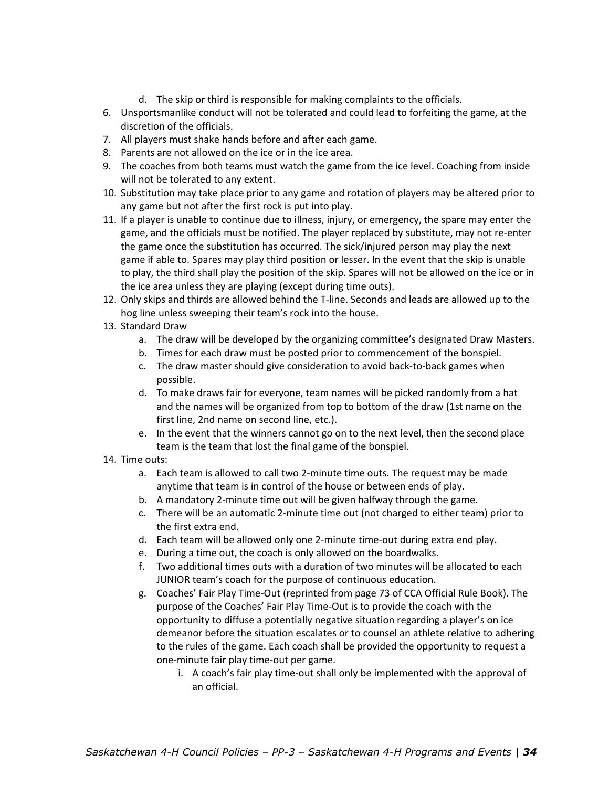- d. The skip or third is responsible for making complaints to the officials.
- 6. Unsportsmanlike conduct will not be tolerated and could lead to forfeiting the game, at the discretion of the officials.
- 7. All players must shake hands before and after each game.
- 8. Parents are not allowed on the ice or in the ice area.
- 9. The coaches from both teams must watch the game from the ice level. Coaching from inside will not be tolerated to any extent.
- 10. Substitution may take place prior to any game and rotation of players may be altered prior to any game but not after the first rock is put into play.
- 11. If a player is unable to continue due to illness, injury, or emergency, the spare may enter the game, and the officials must be notified. The player replaced by substitute, may not re‐enter the game once the substitution has occurred. The sick/injured person may play the next game if able to. Spares may play third position or lesser. In the event that the skip is unable to play, the third shall play the position of the skip. Spares will not be allowed on the ice or in the ice area unless they are playing (except during time outs).
- 12. Only skips and thirds are allowed behind the T‐line. Seconds and leads are allowed up to the hog line unless sweeping their team's rock into the house.
- 13. Standard Draw
	- a. The draw will be developed by the organizing committee's designated Draw Masters.
	- b. Times for each draw must be posted prior to commencement of the bonspiel.
	- c. The draw master should give consideration to avoid back‐to‐back games when possible.
	- d. To make draws fair for everyone, team names will be picked randomly from a hat and the names will be organized from top to bottom of the draw (1st name on the first line, 2nd name on second line, etc.).
	- e. In the event that the winners cannot go on to the next level, then the second place team is the team that lost the final game of the bonspiel.
- 14. Time outs:
	- a. Each team is allowed to call two 2‐minute time outs. The request may be made anytime that team is in control of the house or between ends of play.
	- b. A mandatory 2‐minute time out will be given halfway through the game.
	- c. There will be an automatic 2‐minute time out (not charged to either team) prior to the first extra end.
	- d. Each team will be allowed only one 2‐minute time‐out during extra end play.
	- e. During a time out, the coach is only allowed on the boardwalks.
	- f. Two additional times outs with a duration of two minutes will be allocated to each JUNIOR team's coach for the purpose of continuous education.
	- g. Coaches' Fair Play Time‐Out (reprinted from page 73 of CCA Official Rule Book). The purpose of the Coaches' Fair Play Time‐Out is to provide the coach with the opportunity to diffuse a potentially negative situation regarding a player's on ice demeanor before the situation escalates or to counsel an athlete relative to adhering to the rules of the game. Each coach shall be provided the opportunity to request a one‐minute fair play time‐out per game.
		- i. A coach's fair play time‐out shall only be implemented with the approval of an official.